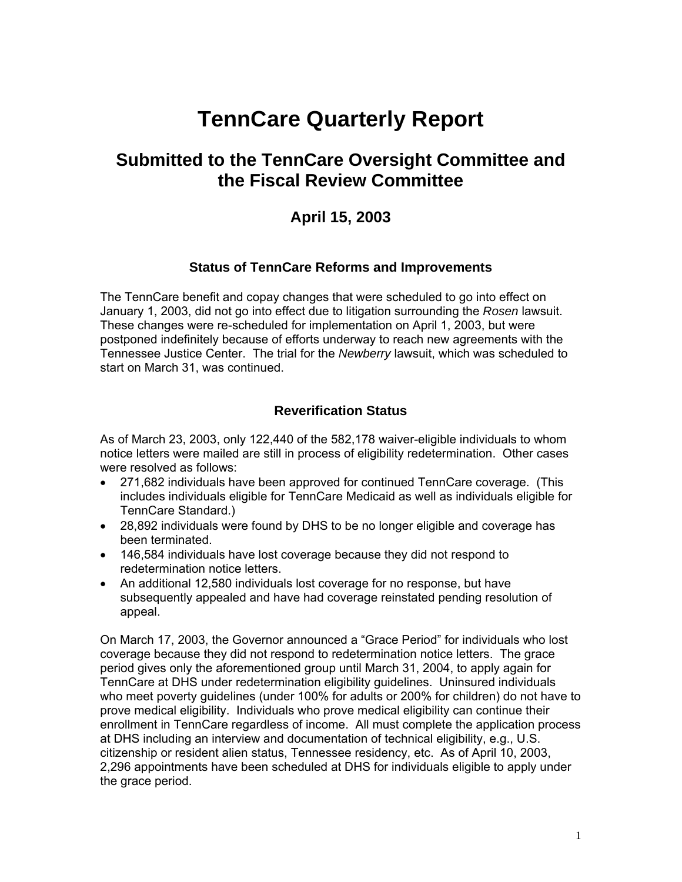# **TennCare Quarterly Report**

# **Submitted to the TennCare Oversight Committee and the Fiscal Review Committee**

# **April 15, 2003**

#### **Status of TennCare Reforms and Improvements**

The TennCare benefit and copay changes that were scheduled to go into effect on January 1, 2003, did not go into effect due to litigation surrounding the *Rosen* lawsuit. These changes were re-scheduled for implementation on April 1, 2003, but were postponed indefinitely because of efforts underway to reach new agreements with the Tennessee Justice Center. The trial for the *Newberry* lawsuit, which was scheduled to start on March 31, was continued.

### **Reverification Status**

As of March 23, 2003, only 122,440 of the 582,178 waiver-eligible individuals to whom notice letters were mailed are still in process of eligibility redetermination. Other cases were resolved as follows:

- 271,682 individuals have been approved for continued TennCare coverage. (This includes individuals eligible for TennCare Medicaid as well as individuals eligible for TennCare Standard.)
- 28,892 individuals were found by DHS to be no longer eligible and coverage has been terminated.
- 146,584 individuals have lost coverage because they did not respond to redetermination notice letters.
- An additional 12,580 individuals lost coverage for no response, but have subsequently appealed and have had coverage reinstated pending resolution of appeal.

On March 17, 2003, the Governor announced a "Grace Period" for individuals who lost coverage because they did not respond to redetermination notice letters. The grace period gives only the aforementioned group until March 31, 2004, to apply again for TennCare at DHS under redetermination eligibility guidelines. Uninsured individuals who meet poverty guidelines (under 100% for adults or 200% for children) do not have to prove medical eligibility. Individuals who prove medical eligibility can continue their enrollment in TennCare regardless of income. All must complete the application process at DHS including an interview and documentation of technical eligibility, e.g., U.S. citizenship or resident alien status, Tennessee residency, etc. As of April 10, 2003, 2,296 appointments have been scheduled at DHS for individuals eligible to apply under the grace period.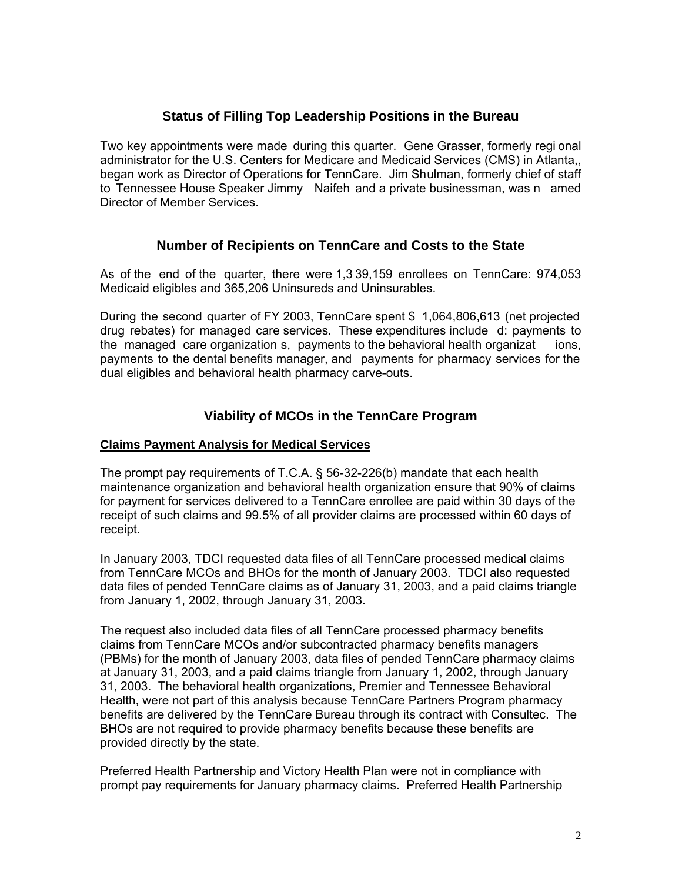# **Status of Filling Top Leadership Positions in the Bureau**

Two key appointments were made during this quarter. Gene Grasser, formerly regi onal administrator for the U.S. Centers for Medicare and Medicaid Services (CMS) in Atlanta,, began work as Director of Operations for TennCare. Jim Shulman, formerly chief of staff to Tennessee House Speaker Jimmy Naifeh and a private businessman, was n amed Director of Member Services.

### **Number of Recipients on TennCare and Costs to the State**

As of the end of the quarter, there were 1,3 39,159 enrollees on TennCare: 974,053 Medicaid eligibles and 365,206 Uninsureds and Uninsurables.

During the second quarter of FY 2003, TennCare spent \$ 1,064,806,613 (net projected drug rebates) for managed care services. These expenditures include d: payments to the managed care organization s, payments to the behavioral health organizat ions, payments to the dental benefits manager, and payments for pharmacy services for the dual eligibles and behavioral health pharmacy carve-outs.

# **Viability of MCOs in the TennCare Program**

#### **Claims Payment Analysis for Medical Services**

The prompt pay requirements of T.C.A. § 56-32-226(b) mandate that each health maintenance organization and behavioral health organization ensure that 90% of claims for payment for services delivered to a TennCare enrollee are paid within 30 days of the receipt of such claims and 99.5% of all provider claims are processed within 60 days of receipt.

In January 2003, TDCI requested data files of all TennCare processed medical claims from TennCare MCOs and BHOs for the month of January 2003. TDCI also requested data files of pended TennCare claims as of January 31, 2003, and a paid claims triangle from January 1, 2002, through January 31, 2003.

The request also included data files of all TennCare processed pharmacy benefits claims from TennCare MCOs and/or subcontracted pharmacy benefits managers (PBMs) for the month of January 2003, data files of pended TennCare pharmacy claims at January 31, 2003, and a paid claims triangle from January 1, 2002, through January 31, 2003. The behavioral health organizations, Premier and Tennessee Behavioral Health, were not part of this analysis because TennCare Partners Program pharmacy benefits are delivered by the TennCare Bureau through its contract with Consultec. The BHOs are not required to provide pharmacy benefits because these benefits are provided directly by the state.

Preferred Health Partnership and Victory Health Plan were not in compliance with prompt pay requirements for January pharmacy claims. Preferred Health Partnership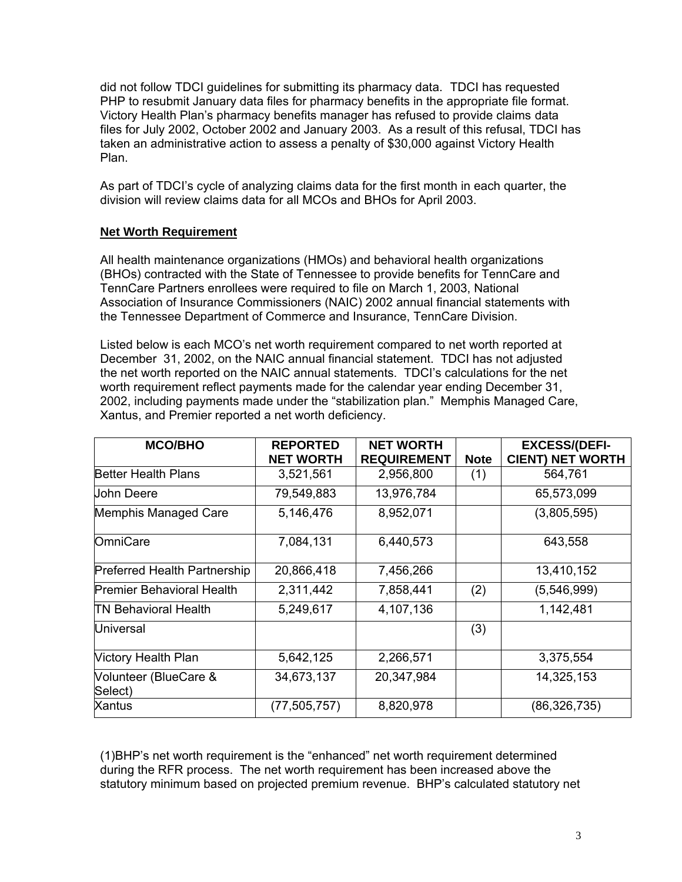did not follow TDCI guidelines for submitting its pharmacy data. TDCI has requested PHP to resubmit January data files for pharmacy benefits in the appropriate file format. Victory Health Plan's pharmacy benefits manager has refused to provide claims data files for July 2002, October 2002 and January 2003. As a result of this refusal, TDCI has taken an administrative action to assess a penalty of \$30,000 against Victory Health Plan.

As part of TDCI's cycle of analyzing claims data for the first month in each quarter, the division will review claims data for all MCOs and BHOs for April 2003.

#### **Net Worth Requirement**

All health maintenance organizations (HMOs) and behavioral health organizations (BHOs) contracted with the State of Tennessee to provide benefits for TennCare and TennCare Partners enrollees were required to file on March 1, 2003, National Association of Insurance Commissioners (NAIC) 2002 annual financial statements with the Tennessee Department of Commerce and Insurance, TennCare Division.

Listed below is each MCO's net worth requirement compared to net worth reported at December 31, 2002, on the NAIC annual financial statement. TDCI has not adjusted the net worth reported on the NAIC annual statements. TDCI's calculations for the net worth requirement reflect payments made for the calendar year ending December 31, 2002, including payments made under the "stabilization plan." Memphis Managed Care, Xantus, and Premier reported a net worth deficiency.

| <b>MCO/BHO</b>                      | <b>REPORTED</b>  | <b>NET WORTH</b>   |             | <b>EXCESS/(DEFI-</b>    |
|-------------------------------------|------------------|--------------------|-------------|-------------------------|
|                                     | <b>NET WORTH</b> | <b>REQUIREMENT</b> | <b>Note</b> | <b>CIENT) NET WORTH</b> |
| <b>Better Health Plans</b>          | 3,521,561        | 2,956,800          | (1)         | 564,761                 |
| Uohn Deere                          | 79,549,883       | 13,976,784         |             | 65,573,099              |
| Memphis Managed Care                | 5,146,476        | 8,952,071          |             | (3,805,595)             |
| OmniCare                            | 7,084,131        | 6,440,573          |             | 643,558                 |
| <b>Preferred Health Partnership</b> | 20,866,418       | 7,456,266          |             | 13,410,152              |
| <b>Premier Behavioral Health</b>    | 2,311,442        | 7,858,441          | (2)         | (5,546,999)             |
| ITN Behavioral Health               | 5,249,617        | 4,107,136          |             | 1,142,481               |
| <b>Universal</b>                    |                  |                    | (3)         |                         |
| <b>Victory Health Plan</b>          | 5,642,125        | 2,266,571          |             | 3,375,554               |
| Volunteer (BlueCare &<br>Select)    | 34,673,137       | 20,347,984         |             | 14,325,153              |
| Xantus                              | (77, 505, 757)   | 8,820,978          |             | (86, 326, 735)          |

(1)BHP's net worth requirement is the "enhanced" net worth requirement determined during the RFR process. The net worth requirement has been increased above the statutory minimum based on projected premium revenue. BHP's calculated statutory net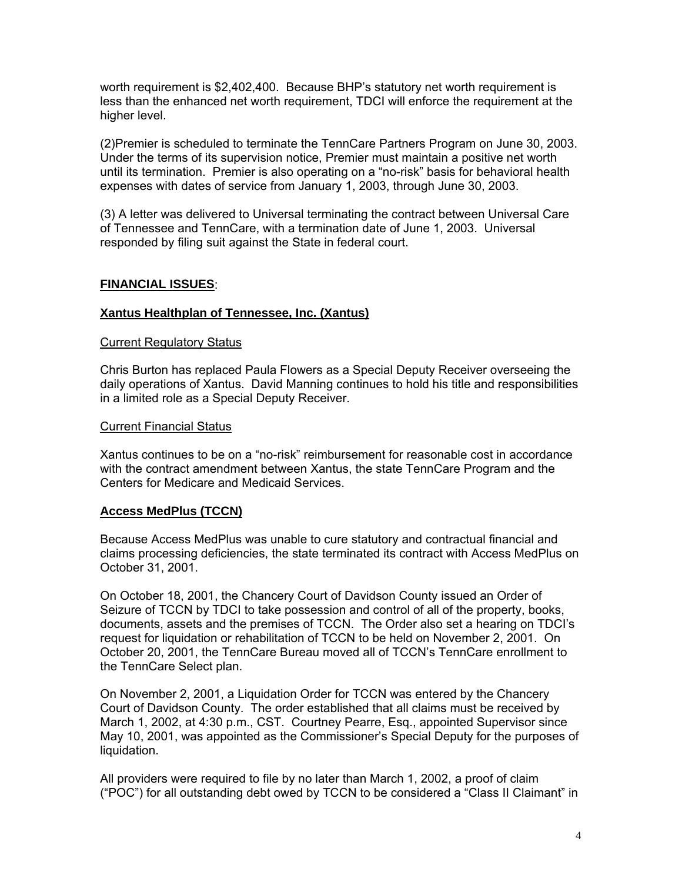worth requirement is \$2,402,400. Because BHP's statutory net worth requirement is less than the enhanced net worth requirement, TDCI will enforce the requirement at the higher level.

(2)Premier is scheduled to terminate the TennCare Partners Program on June 30, 2003. Under the terms of its supervision notice, Premier must maintain a positive net worth until its termination. Premier is also operating on a "no-risk" basis for behavioral health expenses with dates of service from January 1, 2003, through June 30, 2003.

(3) A letter was delivered to Universal terminating the contract between Universal Care of Tennessee and TennCare, with a termination date of June 1, 2003. Universal responded by filing suit against the State in federal court.

#### **FINANCIAL ISSUES**:

#### **Xantus Healthplan of Tennessee, Inc. (Xantus)**

#### Current Regulatory Status

Chris Burton has replaced Paula Flowers as a Special Deputy Receiver overseeing the daily operations of Xantus. David Manning continues to hold his title and responsibilities in a limited role as a Special Deputy Receiver.

#### Current Financial Status

Xantus continues to be on a "no-risk" reimbursement for reasonable cost in accordance with the contract amendment between Xantus, the state TennCare Program and the Centers for Medicare and Medicaid Services.

#### **Access MedPlus (TCCN)**

Because Access MedPlus was unable to cure statutory and contractual financial and claims processing deficiencies, the state terminated its contract with Access MedPlus on October 31, 2001.

On October 18, 2001, the Chancery Court of Davidson County issued an Order of Seizure of TCCN by TDCI to take possession and control of all of the property, books, documents, assets and the premises of TCCN. The Order also set a hearing on TDCI's request for liquidation or rehabilitation of TCCN to be held on November 2, 2001. On October 20, 2001, the TennCare Bureau moved all of TCCN's TennCare enrollment to the TennCare Select plan.

On November 2, 2001, a Liquidation Order for TCCN was entered by the Chancery Court of Davidson County. The order established that all claims must be received by March 1, 2002, at 4:30 p.m., CST. Courtney Pearre, Esq., appointed Supervisor since May 10, 2001, was appointed as the Commissioner's Special Deputy for the purposes of liquidation.

All providers were required to file by no later than March 1, 2002, a proof of claim ("POC") for all outstanding debt owed by TCCN to be considered a "Class II Claimant" in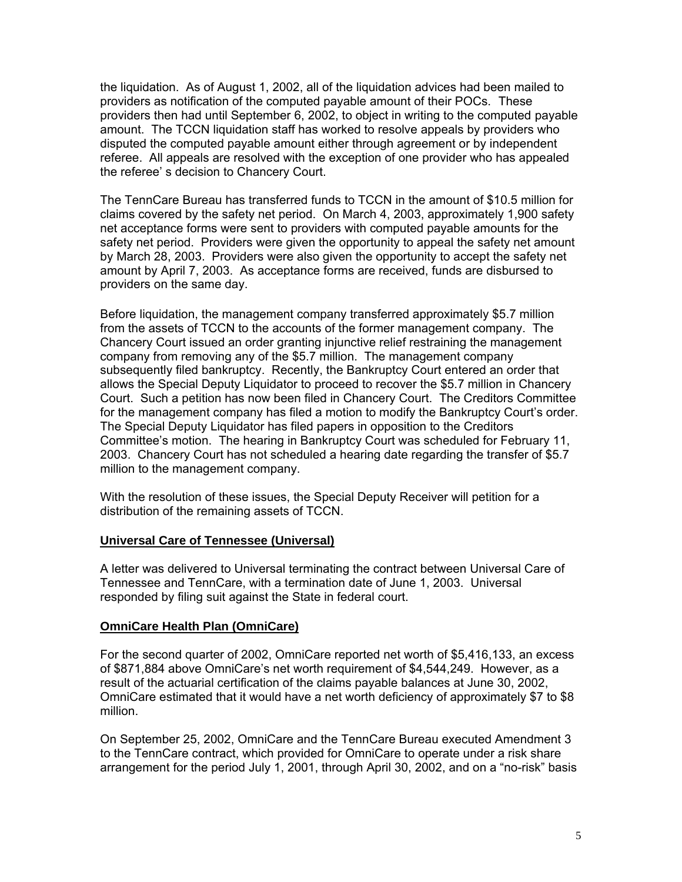the liquidation. As of August 1, 2002, all of the liquidation advices had been mailed to providers as notification of the computed payable amount of their POCs. These providers then had until September 6, 2002, to object in writing to the computed payable amount. The TCCN liquidation staff has worked to resolve appeals by providers who disputed the computed payable amount either through agreement or by independent referee. All appeals are resolved with the exception of one provider who has appealed the referee' s decision to Chancery Court.

The TennCare Bureau has transferred funds to TCCN in the amount of \$10.5 million for claims covered by the safety net period. On March 4, 2003, approximately 1,900 safety net acceptance forms were sent to providers with computed payable amounts for the safety net period. Providers were given the opportunity to appeal the safety net amount by March 28, 2003. Providers were also given the opportunity to accept the safety net amount by April 7, 2003. As acceptance forms are received, funds are disbursed to providers on the same day.

Before liquidation, the management company transferred approximately \$5.7 million from the assets of TCCN to the accounts of the former management company. The Chancery Court issued an order granting injunctive relief restraining the management company from removing any of the \$5.7 million. The management company subsequently filed bankruptcy. Recently, the Bankruptcy Court entered an order that allows the Special Deputy Liquidator to proceed to recover the \$5.7 million in Chancery Court. Such a petition has now been filed in Chancery Court. The Creditors Committee for the management company has filed a motion to modify the Bankruptcy Court's order. The Special Deputy Liquidator has filed papers in opposition to the Creditors Committee's motion. The hearing in Bankruptcy Court was scheduled for February 11, 2003. Chancery Court has not scheduled a hearing date regarding the transfer of \$5.7 million to the management company.

With the resolution of these issues, the Special Deputy Receiver will petition for a distribution of the remaining assets of TCCN.

#### **Universal Care of Tennessee (Universal)**

A letter was delivered to Universal terminating the contract between Universal Care of Tennessee and TennCare, with a termination date of June 1, 2003. Universal responded by filing suit against the State in federal court.

#### **OmniCare Health Plan (OmniCare)**

For the second quarter of 2002, OmniCare reported net worth of \$5,416,133, an excess of \$871,884 above OmniCare's net worth requirement of \$4,544,249. However, as a result of the actuarial certification of the claims payable balances at June 30, 2002, OmniCare estimated that it would have a net worth deficiency of approximately \$7 to \$8 million.

On September 25, 2002, OmniCare and the TennCare Bureau executed Amendment 3 to the TennCare contract, which provided for OmniCare to operate under a risk share arrangement for the period July 1, 2001, through April 30, 2002, and on a "no-risk" basis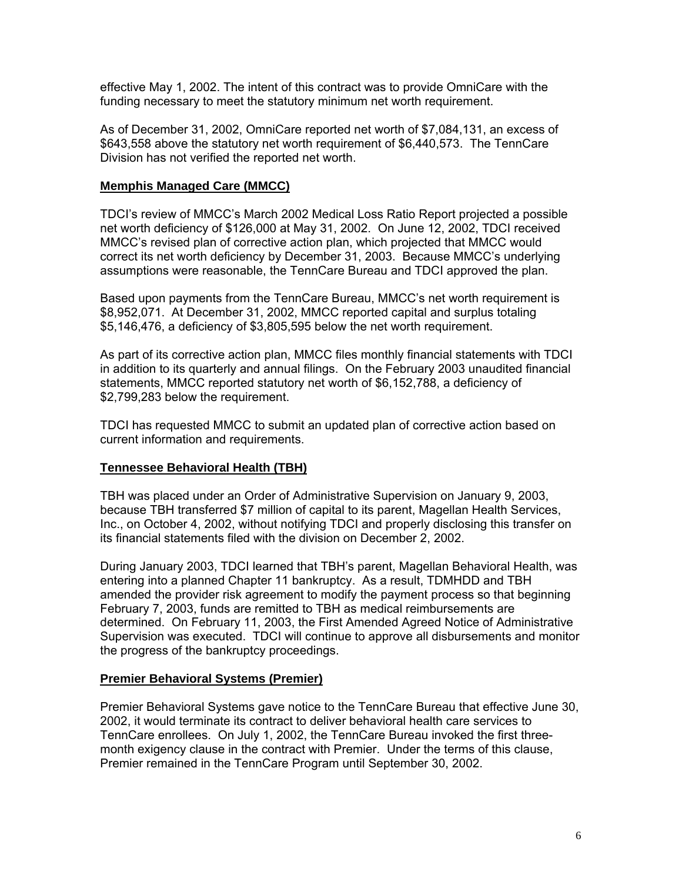effective May 1, 2002. The intent of this contract was to provide OmniCare with the funding necessary to meet the statutory minimum net worth requirement.

As of December 31, 2002, OmniCare reported net worth of \$7,084,131, an excess of \$643,558 above the statutory net worth requirement of \$6,440,573. The TennCare Division has not verified the reported net worth.

#### **Memphis Managed Care (MMCC)**

TDCI's review of MMCC's March 2002 Medical Loss Ratio Report projected a possible net worth deficiency of \$126,000 at May 31, 2002. On June 12, 2002, TDCI received MMCC's revised plan of corrective action plan, which projected that MMCC would correct its net worth deficiency by December 31, 2003. Because MMCC's underlying assumptions were reasonable, the TennCare Bureau and TDCI approved the plan.

Based upon payments from the TennCare Bureau, MMCC's net worth requirement is \$8,952,071. At December 31, 2002, MMCC reported capital and surplus totaling \$5,146,476, a deficiency of \$3,805,595 below the net worth requirement.

As part of its corrective action plan, MMCC files monthly financial statements with TDCI in addition to its quarterly and annual filings. On the February 2003 unaudited financial statements, MMCC reported statutory net worth of \$6,152,788, a deficiency of \$2,799,283 below the requirement.

TDCI has requested MMCC to submit an updated plan of corrective action based on current information and requirements.

#### **Tennessee Behavioral Health (TBH)**

TBH was placed under an Order of Administrative Supervision on January 9, 2003, because TBH transferred \$7 million of capital to its parent, Magellan Health Services, Inc., on October 4, 2002, without notifying TDCI and properly disclosing this transfer on its financial statements filed with the division on December 2, 2002.

During January 2003, TDCI learned that TBH's parent, Magellan Behavioral Health, was entering into a planned Chapter 11 bankruptcy. As a result, TDMHDD and TBH amended the provider risk agreement to modify the payment process so that beginning February 7, 2003, funds are remitted to TBH as medical reimbursements are determined. On February 11, 2003, the First Amended Agreed Notice of Administrative Supervision was executed. TDCI will continue to approve all disbursements and monitor the progress of the bankruptcy proceedings.

#### **Premier Behavioral Systems (Premier)**

Premier Behavioral Systems gave notice to the TennCare Bureau that effective June 30, 2002, it would terminate its contract to deliver behavioral health care services to TennCare enrollees. On July 1, 2002, the TennCare Bureau invoked the first threemonth exigency clause in the contract with Premier. Under the terms of this clause, Premier remained in the TennCare Program until September 30, 2002.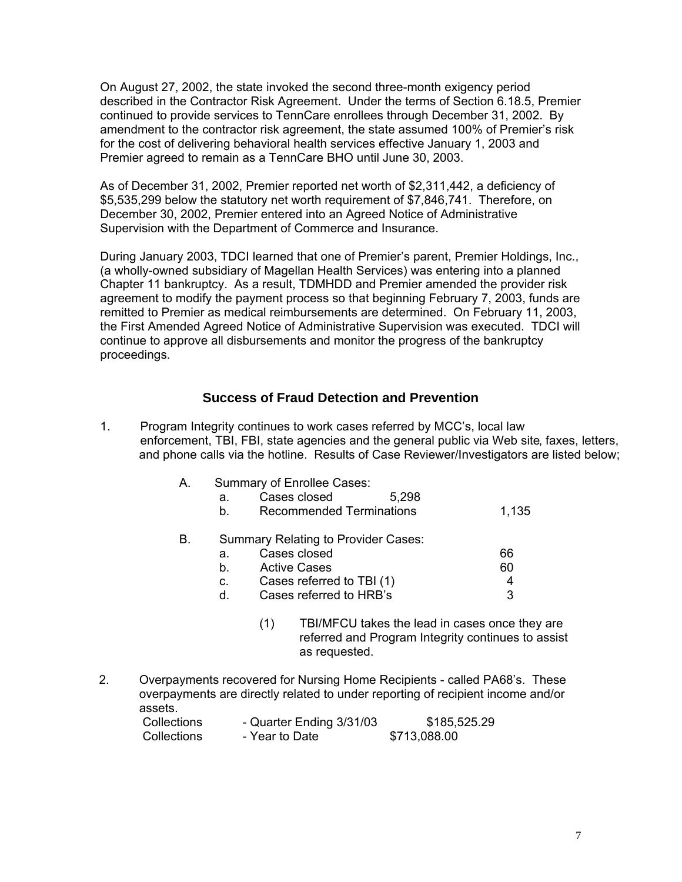On August 27, 2002, the state invoked the second three-month exigency period described in the Contractor Risk Agreement. Under the terms of Section 6.18.5, Premier continued to provide services to TennCare enrollees through December 31, 2002. By amendment to the contractor risk agreement, the state assumed 100% of Premier's risk for the cost of delivering behavioral health services effective January 1, 2003 and Premier agreed to remain as a TennCare BHO until June 30, 2003.

As of December 31, 2002, Premier reported net worth of \$2,311,442, a deficiency of \$5,535,299 below the statutory net worth requirement of \$7,846,741. Therefore, on December 30, 2002, Premier entered into an Agreed Notice of Administrative Supervision with the Department of Commerce and Insurance.

During January 2003, TDCI learned that one of Premier's parent, Premier Holdings, Inc., (a wholly-owned subsidiary of Magellan Health Services) was entering into a planned Chapter 11 bankruptcy. As a result, TDMHDD and Premier amended the provider risk agreement to modify the payment process so that beginning February 7, 2003, funds are remitted to Premier as medical reimbursements are determined. On February 11, 2003, the First Amended Agreed Notice of Administrative Supervision was executed. TDCI will continue to approve all disbursements and monitor the progress of the bankruptcy proceedings.

# **Success of Fraud Detection and Prevention**

1. Program Integrity continues to work cases referred by MCC's, local law enforcement, TBI, FBI, state agencies and the general public via Web site, faxes, letters, and phone calls via the hotline. Results of Case Reviewer/Investigators are listed below;

| Α. |    | Summary of Enrollee Cases:          |       |       |
|----|----|-------------------------------------|-------|-------|
|    | а. | Cases closed                        | 5,298 |       |
|    | b. | <b>Recommended Terminations</b>     |       | 1,135 |
| В. |    | Summary Relating to Provider Cases: |       |       |
|    | a. | Cases closed                        |       | 66    |
|    | b. | <b>Active Cases</b>                 |       | 60    |
|    | c. | Cases referred to TBI (1)           |       | 4     |
|    | d. | Cases referred to HRB's             |       | 3     |
|    |    |                                     |       |       |

- (1) TBI/MFCU takes the lead in cases once they are referred and Program Integrity continues to assist as requested.
- 2. Overpayments recovered for Nursing Home Recipients called PA68's. These overpayments are directly related to under reporting of recipient income and/or assets.

| Collections        | - Quarter Ending 3/31/03 | \$185,525.29 |
|--------------------|--------------------------|--------------|
| <b>Collections</b> | - Year to Date           | \$713,088.00 |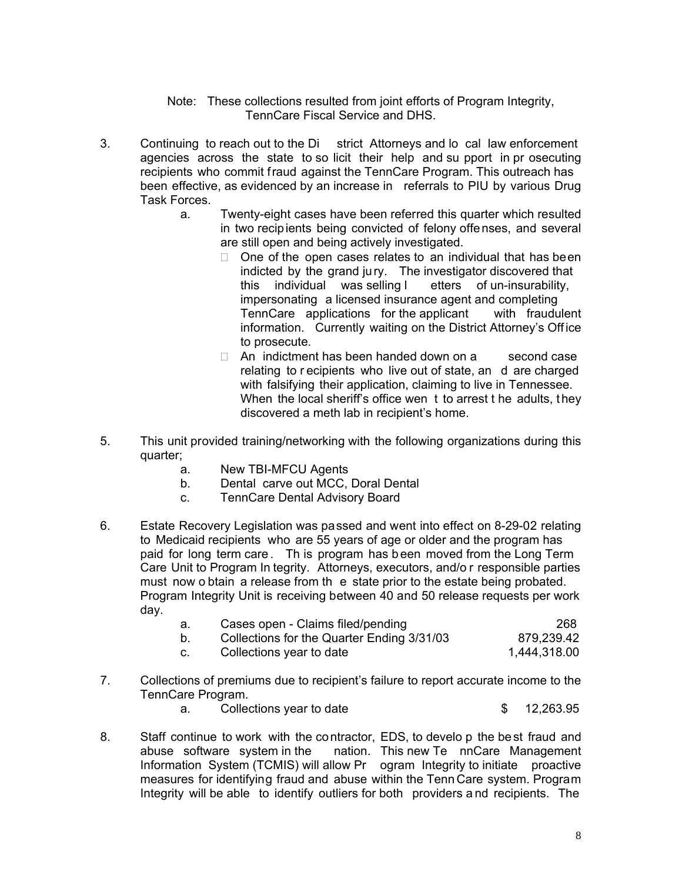Note: These collections resulted from joint efforts of Program Integrity, TennCare Fiscal Service and DHS.

- 3. Continuing to reach out to the Di strict Attorneys and lo cal law enforcement agencies across the state to so licit their help and su pport in pr osecuting recipients who commit fraud against the TennCare Program. This outreach has been effective, as evidenced by an increase in referrals to PIU by various Drug Task Forces.
	- a. Twenty-eight cases have been referred this quarter which resulted in two recipients being convicted of felony offenses, and several are still open and being actively investigated.
		- $\Box$  One of the open cases relates to an individual that has been indicted by the grand jury. The investigator discovered that this individual was selling l etters of un-insurability, impersonating a licensed insurance agent and completing<br>TennCare applications for the applicant with fraudulent TennCare applications for the applicant information. Currently waiting on the District Attorney's Office to prosecute.
		- $\Box$  An indictment has been handed down on a second case relating to r ecipients who live out of state, an d are charged with falsifying their application, claiming to live in Tennessee. When the local sheriff's office wen t to arrest t he adults, they discovered a meth lab in recipient's home.
- 5. This unit provided training/networking with the following organizations during this quarter;
	- a. New TBI-MFCU Agents
	- b. Dental carve out MCC, Doral Dental
	- c. TennCare Dental Advisory Board
- 6. Estate Recovery Legislation was passed and went into effect on 8-29-02 relating to Medicaid recipients who are 55 years of age or older and the program has paid for long term care . Th is program has b een moved from the Long Term Care Unit to Program In tegrity. Attorneys, executors, and/o r responsible parties must now o btain a release from th e state prior to the estate being probated. Program Integrity Unit is receiving between 40 and 50 release requests per work day.
	- a. Cases open Claims filed/pending<br>b. Collections for the Quarter Ending 3/31/03 879.239.42 b. Collections for the Quarter Ending 3/31/03 879,239.42<br>c. Collections vear to date 1,444,318.00 c. Collections year to date
- 7. Collections of premiums due to recipient's failure to report accurate income to the TennCare Program.
	- a. Collections year to date 6 \$ 12,263.95
- 8. Staff continue to work with the contractor, EDS, to develo p the best fraud and abuse software system in the nation. This new Te nnCare Management Information System (TCMIS) will allow Pr ogram Integrity to initiate proactive measures for identifying fraud and abuse within the Tenn Care system. Program Integrity will be able to identify outliers for both providers a nd recipients. The